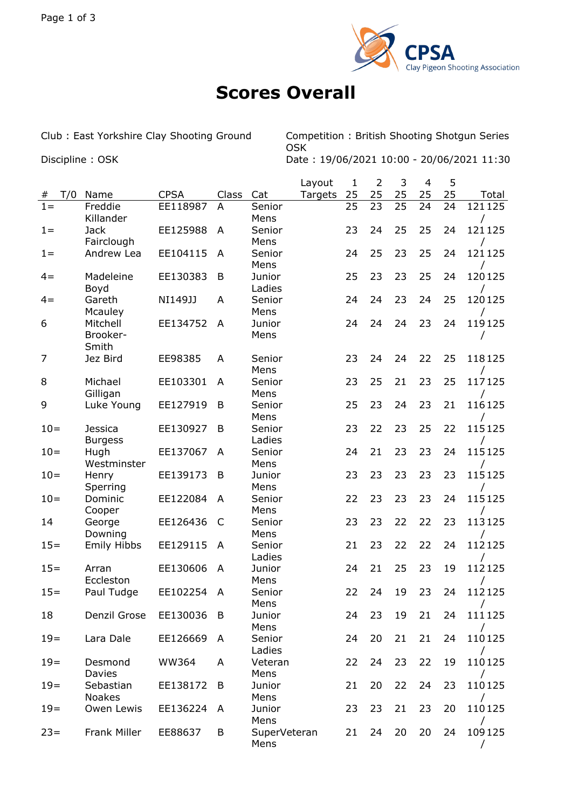

## **Scores Overall**

Club : East Yorkshire Clay Shooting Ground Competition : British Shooting Shotgun Series OSK Discipline : OSK Date : 19/06/2021 10:00 - 20/06/2021 11:30

|        |     |                               |              |       |                      | Layout  | $\mathbf{1}$ | $\overline{2}$ | 3  | $\overline{4}$ | 5  |        |
|--------|-----|-------------------------------|--------------|-------|----------------------|---------|--------------|----------------|----|----------------|----|--------|
| #      | T/0 | Name                          | <b>CPSA</b>  | Class | Cat                  | Targets | 25           | 25             | 25 | 25             | 25 | Total  |
| $1 =$  |     | Freddie<br>Killander          | EE118987     | A     | Senior<br>Mens       |         | 25           | 23             | 25 | 24             | 24 | 121125 |
| $1 =$  |     | <b>Jack</b><br>Fairclough     | EE125988     | A     | Senior<br>Mens       |         | 23           | 24             | 25 | 25             | 24 | 121125 |
| $1 =$  |     | Andrew Lea                    | EE104115     | A     | Senior<br>Mens       |         | 24           | 25             | 23 | 25             | 24 | 121125 |
| $4 =$  |     | Madeleine                     | EE130383     | B     | Junior               |         | 25           | 23             | 23 | 25             | 24 | 120125 |
| $4 =$  |     | Boyd<br>Gareth                | NI149JJ      | A     | Ladies<br>Senior     |         | 24           | 24             | 23 | 24             | 25 | 120125 |
| 6      |     | Mcauley<br>Mitchell           | EE134752     | A     | Mens<br>Junior       |         | 24           | 24             | 24 | 23             | 24 | 119125 |
|        |     | Brooker-<br>Smith             |              |       | Mens                 |         |              |                |    |                |    |        |
| 7      |     | Jez Bird                      | EE98385      | A     | Senior<br>Mens       |         | 23           | 24             | 24 | 22             | 25 | 118125 |
| 8      |     | Michael<br>Gilligan           | EE103301     | A     | Senior<br>Mens       |         | 23           | 25             | 21 | 23             | 25 | 117125 |
| 9      |     | Luke Young                    | EE127919     | B     | Senior<br>Mens       |         | 25           | 23             | 24 | 23             | 21 | 116125 |
| $10=$  |     | <b>Jessica</b>                | EE130927     | B     | Senior<br>Ladies     |         | 23           | 22             | 23 | 25             | 22 | 115125 |
| $10=$  |     | <b>Burgess</b><br>Hugh        | EE137067     | A     | Senior               |         | 24           | 21             | 23 | 23             | 24 | 115125 |
| $10=$  |     | Westminster<br>Henry          | EE139173     | B     | Mens<br>Junior       |         | 23           | 23             | 23 | 23             | 23 | 115125 |
| $10=$  |     | Sperring<br>Dominic           | EE122084     | A     | Mens<br>Senior       |         | 22           | 23             | 23 | 23             | 24 | 115125 |
| 14     |     | Cooper<br>George              | EE126436     | C     | Mens<br>Senior       |         | 23           | 23             | 22 | 22             | 23 | 113125 |
| $15 =$ |     | Downing<br><b>Emily Hibbs</b> | EE129115     | A     | Mens<br>Senior       |         | 21           | 23             | 22 | 22             | 24 | 112125 |
| $15 =$ |     | Arran                         | EE130606     | A     | Ladies<br>Junior     |         | 24           | 21             | 25 | 23             | 19 | 112125 |
| $15 =$ |     | Eccleston<br>Paul Tudge       | EE102254     | A     | Mens<br>Senior       |         | 22           | 24             | 19 | 23             | 24 | 112125 |
| 18     |     | Denzil Grose                  | EE130036     | B     | Mens<br>Junior       |         | 24           | 23             | 19 | 21             | 24 | 111125 |
| $19=$  |     | Lara Dale                     | EE126669     | A     | Mens<br>Senior       |         | 24           | 20             | 21 | 21             | 24 | 110125 |
| $19=$  |     | Desmond                       | <b>WW364</b> | A     | Ladies<br>Veteran    |         | 22           | 24             | 23 | 22             | 19 | 110125 |
| $19=$  |     | Davies<br>Sebastian           | EE138172     | B     | Mens<br>Junior       |         | 21           | 20             | 22 | 24             | 23 | 110125 |
|        |     | <b>Noakes</b>                 |              |       | Mens                 |         |              |                |    |                |    |        |
| $19=$  |     | Owen Lewis                    | EE136224     | A     | Junior<br>Mens       |         | 23           | 23             | 21 | 23             | 20 | 110125 |
| $23=$  |     | <b>Frank Miller</b>           | EE88637      | B     | SuperVeteran<br>Mens |         | 21           | 24             | 20 | 20             | 24 | 109125 |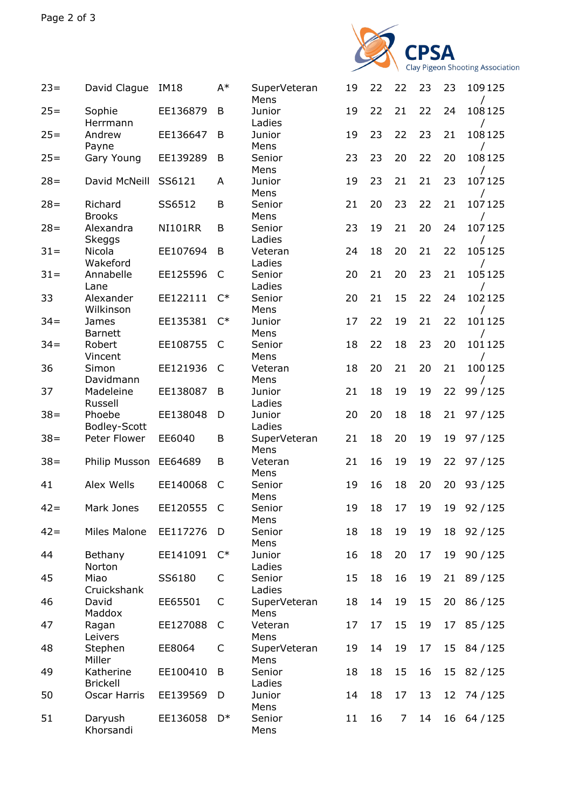

| $23=$  | David Clague                 | <b>IM18</b>    | $A^*$          | SuperVeteran<br>Mens | 19 | 22 | 22             | 23 | 23              | 109125      |
|--------|------------------------------|----------------|----------------|----------------------|----|----|----------------|----|-----------------|-------------|
| $25 =$ | Sophie<br>Herrmann           | EE136879       | B              | Junior<br>Ladies     | 19 | 22 | 21             | 22 | 24              | 108125      |
| $25 =$ | Andrew<br>Payne              | EE136647       | B              | Junior<br>Mens       | 19 | 23 | 22             | 23 | 21              | 108125      |
| $25 =$ | Gary Young                   | EE139289       | B              | Senior<br>Mens       | 23 | 23 | 20             | 22 | 20              | 108125      |
| $28 =$ | David McNeill                | SS6121         | A              | Junior<br>Mens       | 19 | 23 | 21             | 21 | 23              | 107125      |
| $28 =$ | Richard<br><b>Brooks</b>     | SS6512         | B              | Senior<br>Mens       | 21 | 20 | 23             | 22 | 21              | 107125      |
| $28 =$ | Alexandra                    | <b>NI101RR</b> | B              | Senior<br>Ladies     | 23 | 19 | 21             | 20 | 24              | 107125      |
| $31 =$ | Skeggs<br>Nicola<br>Wakeford | EE107694       | B              | Veteran<br>Ladies    | 24 | 18 | 20             | 21 | 22              | 105125      |
| $31 =$ | Annabelle<br>Lane            | EE125596       | C              | Senior<br>Ladies     | 20 | 21 | 20             | 23 | 21              | 105125      |
| 33     | Alexander<br>Wilkinson       | EE122111       | $C^*$          | Senior<br>Mens       | 20 | 21 | 15             | 22 | 24              | 102125      |
| $34 =$ | James<br><b>Barnett</b>      | EE135381       | $C^*$          | Junior<br>Mens       | 17 | 22 | 19             | 21 | 22              | 101125      |
| $34 =$ | Robert<br>Vincent            | EE108755       | C              | Senior<br>Mens       | 18 | 22 | 18             | 23 | 20              | 101125      |
| 36     | Simon<br>Davidmann           | EE121936       | C              | Veteran<br>Mens      | 18 | 20 | 21             | 20 | 21              | 100125      |
| 37     | Madeleine<br>Russell         | EE138087       | B              | Junior<br>Ladies     | 21 | 18 | 19             | 19 | 22              | 99 / 125    |
| $38 =$ | Phoebe<br>Bodley-Scott       | EE138048       | D              | Junior<br>Ladies     | 20 | 20 | 18             | 18 | 21              | 97/125      |
| $38 =$ | Peter Flower                 | EE6040         | B              | SuperVeteran<br>Mens | 21 | 18 | 20             | 19 | 19              | 97/125      |
| $38 =$ | Philip Musson                | EE64689        | B              | Veteran<br>Mens      | 21 | 16 | 19             | 19 | 22              | 97/125      |
| 41     | Alex Wells                   | EE140068       | C              | Senior<br>Mens       | 19 | 16 | 18             | 20 | 20              | 93/125      |
| $42 =$ | Mark Jones                   | EE120555 C     |                | Senior<br>Mens       | 19 | 18 | 17             | 19 | 19              | 92/125      |
| $42 =$ | Miles Malone                 | EE117276       | D              | Senior<br>Mens       | 18 | 18 | 19             | 19 |                 | 18 92/125   |
| 44     | Bethany<br>Norton            | EE141091       | $C^*$          | Junior<br>Ladies     | 16 | 18 | 20             | 17 | 19              | 90/125      |
| 45     | Miao<br>Cruickshank          | SS6180         | C              | Senior<br>Ladies     | 15 | 18 | 16             | 19 |                 | 21 89/125   |
| 46     | David<br>Maddox              | EE65501        | C              | SuperVeteran<br>Mens | 18 | 14 | 19             | 15 |                 | 20 86 / 125 |
| 47     | Ragan<br>Leivers             | EE127088       | C              | Veteran<br>Mens      | 17 | 17 | 15             | 19 | 17              | 85/125      |
| 48     | Stephen<br>Miller            | EE8064         | C              | SuperVeteran<br>Mens | 19 | 14 | 19             | 17 |                 | 15 84/125   |
| 49     | Katherine<br><b>Brickell</b> | EE100410       | B              | Senior<br>Ladies     | 18 | 18 | 15             | 16 |                 | 15 82/125   |
| 50     | Oscar Harris                 | EE139569       | D              | Junior<br>Mens       | 14 | 18 | 17             | 13 | 12 <sub>2</sub> | 74 / 125    |
| 51     | Daryush<br>Khorsandi         | EE136058       | D <sup>*</sup> | Senior<br>Mens       | 11 | 16 | $\overline{7}$ | 14 |                 | 16 64 / 125 |